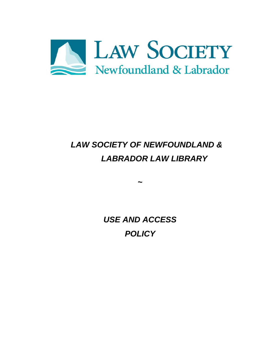

# *LAW SOCIETY OF NEWFOUNDLAND & LABRADOR LAW LIBRARY*

*USE AND ACCESS POLICY*

*~*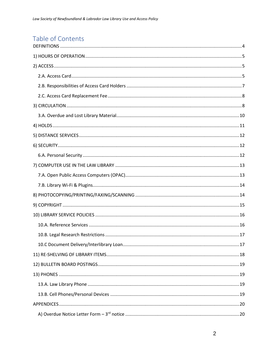## Table of Contents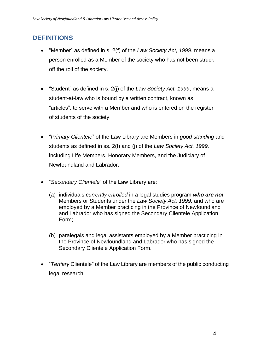### <span id="page-3-0"></span>**DEFINITIONS**

- "Member" as defined in s. 2(f) of the *Law Society Act, 1999*, means a person enrolled as a Member of the society who has not been struck off the roll of the society.
- "Student" as defined in s. 2(j) of the *Law Society Act, 1999*, means a student-at-law who is bound by a written contract, known as "articles", to serve with a Member and who is entered on the register of students of the society.
- "*Primary Clientele*" of the Law Library are Members in *good standing* and students as defined in ss. 2(f) and (j) of the *Law Society Act, 1999,* including Life Members, Honorary Members, and the Judiciary of Newfoundland and Labrador.
- "*Secondary Clientele*" of the Law Library are:
	- (a) individuals *currently enrolled* in a legal studies program *who are not* Members or Students under the *Law Society Act, 1999,* and who are employed by a Member practicing in the Province of Newfoundland and Labrador who has signed the Secondary Clientele Application Form;
	- (b) paralegals and legal assistants employed by a Member practicing in the Province of Newfoundland and Labrador who has signed the Secondary Clientele Application Form.
- "*Tertiary* Clientele" of the Law Library are members of the public conducting legal research.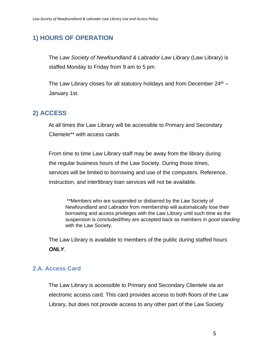### <span id="page-4-0"></span>**1) HOURS OF OPERATION**

The *Law Society of Newfoundland & Labrador Law Library* (Law Library) is staffed Monday to Friday from 9 am to 5 pm.

The Law Library closes for all statutory holidays and from December  $24<sup>th</sup>$  – January 1st.

### <span id="page-4-1"></span>**2) ACCESS**

At all times the Law Library will be accessible to Primary and Secondary Clientele\*\* with access cards.

From time to time Law Library staff may be away from the library during the regular business hours of the Law Society. During those times, services will be limited to borrowing and use of the computers. Reference, instruction, and interlibrary loan services will not be available.

\*\*Members who are suspended or disbarred by the Law Society of Newfoundland and Labrador from membership will automatically lose their borrowing and access privileges with the Law Library until such time as the suspension is concluded/they are accepted back as members *in good standing* with the Law Society.

The Law Library is available to members of the public during staffed hours *ONLY*.

#### <span id="page-4-2"></span>**2.A. Access Card**

The Law Library is accessible to Primary and Secondary Clientele via an electronic access card. This card provides access to both floors of the Law Library, but does not provide access to any other part of the Law Society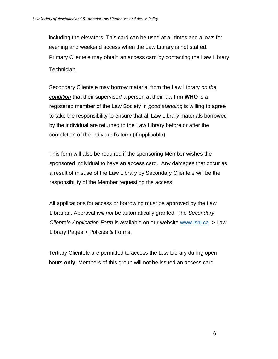including the elevators. This card can be used at all times and allows for evening and weekend access when the Law Library is not staffed. Primary Clientele may obtain an access card by contacting the Law Library Technician.

Secondary Clientele may borrow material from the Law Library *on the condition* that their supervisor/ a person at their law firm **WHO** is a registered member of the Law Society in *good standing* is willing to agree to take the responsibility to ensure that all Law Library materials borrowed by the individual are returned to the Law Library before or after the completion of the individual's term (if applicable).

This form will also be required if the sponsoring Member wishes the sponsored individual to have an access card. Any damages that occur as a result of misuse of the Law Library by Secondary Clientele will be the responsibility of the Member requesting the access.

All applications for access or borrowing must be approved by the Law Librarian. Approval *will not* be automatically granted. The *Secondary Clientele Application Form* is available on our website [www.lsnl.ca](http://www.lsnl.ca/) > Law Library Pages > Policies & Forms.

Tertiary Clientele are permitted to access the Law Library during open hours **only**. Members of this group will not be issued an access card.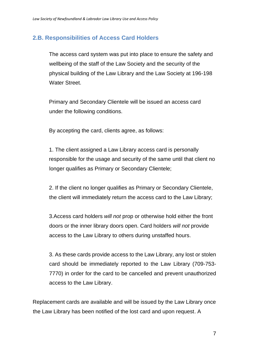#### <span id="page-6-0"></span>**2.B. Responsibilities of Access Card Holders**

The access card system was put into place to ensure the safety and wellbeing of the staff of the Law Society and the security of the physical building of the Law Library and the Law Society at 196-198 Water Street.

Primary and Secondary Clientele will be issued an access card under the following conditions.

By accepting the card, clients agree, as follows:

1. The client assigned a Law Library access card is personally responsible for the usage and security of the same until that client no longer qualifies as Primary or Secondary Clientele;

2. If the client no longer qualifies as Primary or Secondary Clientele, the client will immediately return the access card to the Law Library;

3.Access card holders *will not* prop or otherwise hold either the front doors or the inner library doors open. Card holders *will not* provide access to the Law Library to others during unstaffed hours.

3. As these cards provide access to the Law Library, any lost or stolen card should be immediately reported to the Law Library (709-753- 7770) in order for the card to be cancelled and prevent unauthorized access to the Law Library.

Replacement cards are available and will be issued by the Law Library once the Law Library has been notified of the lost card and upon request. A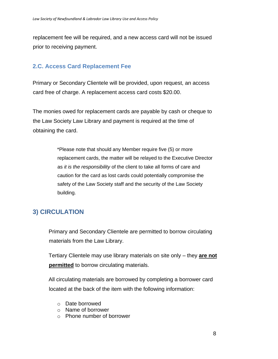replacement fee will be required, and a new access card will not be issued prior to receiving payment.

#### <span id="page-7-0"></span>**2.C. Access Card Replacement Fee**

Primary or Secondary Clientele will be provided, upon request, an access card free of charge. A replacement access card costs \$20.00.

The monies owed for replacement cards are payable by cash or cheque to the Law Society Law Library and payment is required at the time of obtaining the card.

> \*Please note that should any Member require five (5) or more replacement cards, the matter will be relayed to the Executive Director as *it is the responsibility* of the client to take all forms of care and caution for the card as lost cards could potentially compromise the safety of the Law Society staff and the security of the Law Society building.

### <span id="page-7-1"></span>**3) CIRCULATION**

Primary and Secondary Clientele are permitted to borrow circulating materials from the Law Library.

Tertiary Clientele may use library materials on site only – they **are not permitted** to borrow circulating materials.

All circulating materials are borrowed by completing a borrower card located at the back of the item with the following information:

- o Date borrowed
- o Name of borrower
- o Phone number of borrower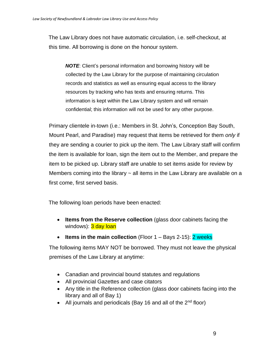The Law Library does not have automatic circulation, i.e. self-checkout, at this time. All borrowing is done on the honour system.

*NOTE*: Client's personal information and borrowing history will be collected by the Law Library for the purpose of maintaining circulation records and statistics as well as ensuring equal access to the library resources by tracking who has texts and ensuring returns. This information is kept within the Law Library system and will remain confidential; this information will not be used for any other purpose.

Primary clientele in-town (i.e.: Members in St. John's, Conception Bay South, Mount Pearl, and Paradise) may request that items be retrieved for them *only* if they are sending a courier to pick up the item. The Law Library staff will confirm the item is available for loan, sign the item out to the Member, and prepare the item to be picked up. Library staff are unable to set items aside for review by Members coming into the library  $\sim$  all items in the Law Library are available on a first come, first served basis.

The following loan periods have been enacted:

- **Items from the Reserve collection** (glass door cabinets facing the windows): 3 day loan
- **Items in the main collection** (Floor 1 Bays 2-15): **2 weeks**

The following items MAY NOT be borrowed. They must not leave the physical premises of the Law Library at anytime:

- Canadian and provincial bound statutes and regulations
- All provincial Gazettes and case citators
- Any title in the Reference collection (glass door cabinets facing into the library and all of Bay 1)
- All journals and periodicals (Bay 16 and all of the  $2<sup>nd</sup>$  floor)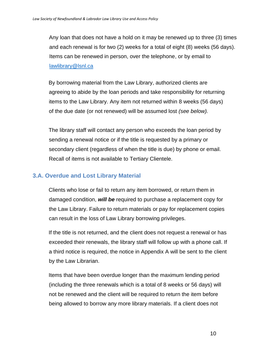Any loan that does not have a hold on it may be renewed up to three (3) times and each renewal is for two (2) weeks for a total of eight (8) weeks (56 days). Items can be renewed in person, over the telephone, or by email to [lawlibrary@lsnl.ca](mailto:lawlibrary@lsnl.ca)

By borrowing material from the Law Library, authorized clients are agreeing to abide by the loan periods and take responsibility for returning items to the Law Library. Any item not returned within 8 weeks (56 days) of the due date (or not renewed) will be assumed lost *(see below).*

The library staff will contact any person who exceeds the loan period by sending a renewal notice or if the title is requested by a primary or secondary client (regardless of when the title is due) by phone or email. Recall of items is not available to Tertiary Clientele.

#### <span id="page-9-0"></span>**3.A. Overdue and Lost Library Material**

Clients who lose or fail to return any item borrowed, or return them in damaged condition, *will be* required to purchase a replacement copy for the Law Library. Failure to return materials or pay for replacement copies can result in the loss of Law Library borrowing privileges.

If the title is not returned, and the client does not request a renewal or has exceeded their renewals, the library staff will follow up with a phone call. If a third notice is required, the notice in Appendix A will be sent to the client by the Law Librarian.

Items that have been overdue longer than the maximum lending period (including the three renewals which is a total of 8 weeks or 56 days) will not be renewed and the client will be required to return the item before being allowed to borrow any more library materials. If a client does not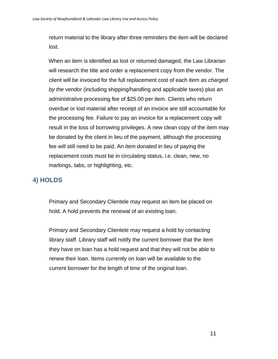return material to the library after three reminders the item will be declared lost.

When an item is identified as lost or returned damaged, the Law Librarian will research the title and order a replacement copy from the vendor. The client will be invoiced for the full replacement cost of each item *as charged by the vendor* (including shipping/handling and applicable taxes) plus an administrative processing fee of \$25.00 per item. Clients who return overdue or lost material after receipt of an invoice are still accountable for the processing fee. Failure to pay an invoice for a replacement copy will result in the loss of borrowing privileges. A new clean copy of the item may be donated by the client in lieu of the payment, although the processing fee will still need to be paid. An item donated in lieu of paying the replacement costs must be in circulating status, i.e. clean, new, no markings, tabs, or highlighting, etc.

### <span id="page-10-0"></span>**4) HOLDS**

Primary and Secondary Clientele may request an item be placed on hold. A hold prevents the renewal of an existing loan.

Primary and Secondary Clientele may request a hold by contacting library staff. Library staff will notify the current borrower that the item they have on loan has a hold request and that they will not be able to renew their loan. Items currently on loan will be available to the current borrower for the length of time of the original loan.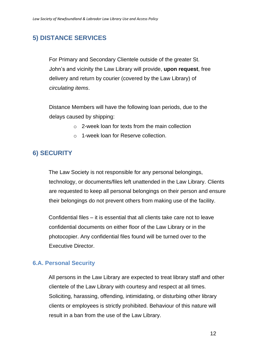### <span id="page-11-0"></span>**5) DISTANCE SERVICES**

For Primary and Secondary Clientele outside of the greater St. John's and vicinity the Law Library will provide, **upon request**, free delivery and return by courier (covered by the Law Library) of *circulating items*.

Distance Members will have the following loan periods, due to the delays caused by shipping:

- o 2-week loan for texts from the main collection
- o 1-week loan for Reserve collection.

### <span id="page-11-1"></span>**6) SECURITY**

The Law Society is not responsible for any personal belongings, technology, or documents/files left unattended in the Law Library. Clients are requested to keep all personal belongings on their person and ensure their belongings do not prevent others from making use of the facility.

Confidential files – it is essential that all clients take care not to leave confidential documents on either floor of the Law Library or in the photocopier. Any confidential files found will be turned over to the Executive Director.

#### <span id="page-11-2"></span>**6.A. Personal Security**

All persons in the Law Library are expected to treat library staff and other clientele of the Law Library with courtesy and respect at all times. Soliciting, harassing, offending, intimidating, or disturbing other library clients or employees is strictly prohibited. Behaviour of this nature will result in a ban from the use of the Law Library.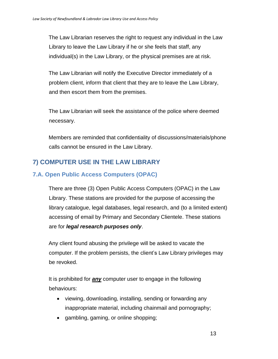The Law Librarian reserves the right to request any individual in the Law Library to leave the Law Library if he or she feels that staff, any individual(s) in the Law Library, or the physical premises are at risk.

The Law Librarian will notify the Executive Director immediately of a problem client, inform that client that they are to leave the Law Library, and then escort them from the premises.

The Law Librarian will seek the assistance of the police where deemed necessary.

Members are reminded that confidentiality of discussions/materials/phone calls cannot be ensured in the Law Library.

### <span id="page-12-0"></span>**7) COMPUTER USE IN THE LAW LIBRARY**

### <span id="page-12-1"></span>**7.A. Open Public Access Computers (OPAC)**

There are three (3) Open Public Access Computers (OPAC) in the Law Library. These stations are provided for the purpose of accessing the library catalogue, legal databases, legal research, and (to a limited extent) accessing of email by Primary and Secondary Clientele. These stations are for *legal research purposes only*.

Any client found abusing the privilege will be asked to vacate the computer. If the problem persists, the client's Law Library privileges may be revoked.

It is prohibited for *any* computer user to engage in the following behaviours:

- viewing, downloading, installing, sending or forwarding any inappropriate material, including chainmail and pornography;
- gambling, gaming, or online shopping;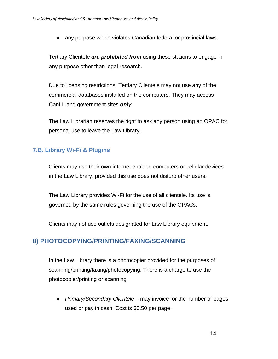• any purpose which violates Canadian federal or provincial laws.

Tertiary Clientele *are prohibited from* using these stations to engage in any purpose other than legal research.

Due to licensing restrictions, Tertiary Clientele may not use any of the commercial databases installed on the computers. They may access CanLII and government sites *only*.

The Law Librarian reserves the right to ask any person using an OPAC for personal use to leave the Law Library.

#### <span id="page-13-0"></span>**7.B. Library Wi-Fi & Plugins**

Clients may use their own internet enabled computers or cellular devices in the Law Library, provided this use does not disturb other users.

The Law Library provides Wi-Fi for the use of all clientele. Its use is governed by the same rules governing the use of the OPACs.

Clients may not use outlets designated for Law Library equipment.

### <span id="page-13-1"></span>**8) PHOTOCOPYING/PRINTING/FAXING/SCANNING**

In the Law Library there is a photocopier provided for the purposes of scanning/printing/faxing/photocopying. There is a charge to use the photocopier/printing or scanning:

• *Primary/Secondary Clientele* – may invoice for the number of pages used or pay in cash. Cost is \$0.50 per page.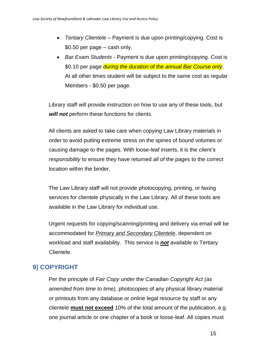- *Tertiary Clientele* Payment is due upon printing/copying. Cost is \$0.50 per page – cash only.
- *Bar Exam Students* Payment is due upon printing/copying. Cost is \$0.10 per page *during the duration of the annual Bar Course only*; At all other times student will be subject to the same cost as regular Members - \$0.50 per page.

Library staff will provide instruction on how to use any of these tools, but *will not* perform these functions for clients.

All clients are asked to take care when copying Law Library materials in order to avoid putting extreme stress on the spines of bound volumes or causing damage to the pages. With loose-leaf inserts, it is the *client's responsibility* to ensure they have returned *all of* the pages to the correct location within the binder.

The Law Library staff will not provide photocopying, printing, or faxing services for clientele physically in the Law Library. All of these tools are available in the Law Library for individual use.

Urgent requests for copying/scanning/printing and delivery via email will be accommodated for *Primary and Secondary Clientele*, dependent on workload and staff availability. This service is *not* available to Tertiary Clientele.

### <span id="page-14-0"></span>**9) COPYRIGHT**

Per the principle of *Fair Copy* under the *Canadian Copyright Act (as amended from time to time),* photocopies of any physical library material or printouts from any database or online legal resource by staff or any clientele **must not exceed** 10% of the total amount of the publication, e.g. one journal article or one chapter of a book or loose-leaf. All copies must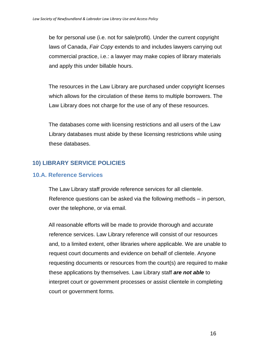be for personal use (i.e. not for sale/profit). Under the current copyright laws of Canada, *Fair Copy* extends to and includes lawyers carrying out commercial practice, i.e.: a lawyer may make copies of library materials and apply this under billable hours.

The resources in the Law Library are purchased under copyright licenses which allows for the circulation of these items to multiple borrowers. The Law Library does not charge for the use of any of these resources.

The databases come with licensing restrictions and all users of the Law Library databases must abide by these licensing restrictions while using these databases.

#### <span id="page-15-0"></span>**10) LIBRARY SERVICE POLICIES**

#### <span id="page-15-1"></span>**10.A. Reference Services**

The Law Library staff provide reference services for all clientele. Reference questions can be asked via the following methods – in person, over the telephone, or via email.

All reasonable efforts will be made to provide thorough and accurate reference services. Law Library reference will consist of our resources and, to a limited extent, other libraries where applicable. We are unable to request court documents and evidence on behalf of clientele. Anyone requesting documents or resources from the court(s) are required to make these applications by themselves. Law Library staff *are not able* to interpret court or government processes or assist clientele in completing court or government forms.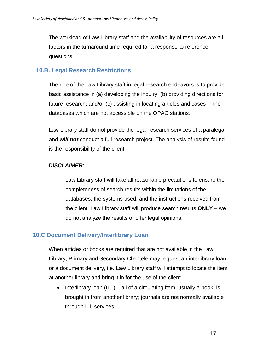The workload of Law Library staff and the availability of resources are all factors in the turnaround time required for a response to reference questions.

#### <span id="page-16-0"></span> **10.B. Legal Research Restrictions**

The role of the Law Library staff in legal research endeavors is to provide basic assistance in (a) developing the inquiry, (b) providing directions for future research, and/or (c) assisting in locating articles and cases in the databases which are not accessible on the OPAC stations.

Law Library staff do not provide the legal research services of a paralegal and *will not* conduct a full research project. The analysis of results found is the responsibility of the client.

#### *DISCLAIMER:*

Law Library staff will take all reasonable precautions to ensure the completeness of search results within the limitations of the databases, the systems used, and the instructions received from the client. Law Library staff will produce search results **ONLY** – we do not analyze the results or offer legal opinions.

#### <span id="page-16-1"></span>**10.C Document Delivery/Interlibrary Loan**

When articles or books are required that are not available in the Law Library, Primary and Secondary Clientele may request an interlibrary loan or a document delivery, i.e. Law Library staff will attempt to locate the item at another library and bring it in for the use of the client.

• Interlibrary loan (ILL) – all of a circulating item, usually a book, is brought in from another library; journals are not normally available through ILL services.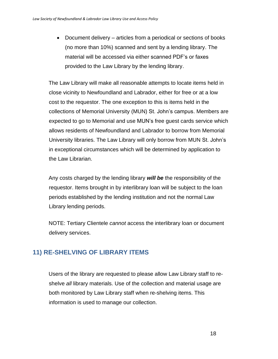• Document delivery – articles from a periodical or sections of books (no more than 10%) scanned and sent by a lending library. The material will be accessed via either scanned PDF's or faxes provided to the Law Library by the lending library.

The Law Library will make all reasonable attempts to locate items held in close vicinity to Newfoundland and Labrador, either for free or at a low cost to the requestor. The one exception to this is items held in the collections of Memorial University (MUN) St. John's campus. Members are expected to go to Memorial and use MUN's free guest cards service which allows residents of Newfoundland and Labrador to borrow from Memorial University libraries. The Law Library will only borrow from MUN St. John's in exceptional circumstances which will be determined by application to the Law Librarian.

Any costs charged by the lending library *will be* the responsibility of the requestor. Items brought in by interlibrary loan will be subject to the loan periods established by the lending institution and not the normal Law Library lending periods.

NOTE: Tertiary Clientele *cannot* access the interlibrary loan or document delivery services.

### <span id="page-17-0"></span>**11) RE-SHELVING OF LIBRARY ITEMS**

Users of the library are requested to please allow Law Library staff to reshelve *all* library materials. Use of the collection and material usage are both monitored by Law Library staff when re-shelving items. This information is used to manage our collection.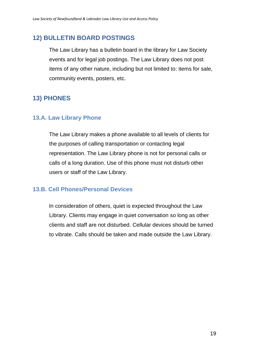### <span id="page-18-0"></span>**12) BULLETIN BOARD POSTINGS**

The Law Library has a bulletin board in the library for Law Society events and for legal job postings. The Law Library does not post items of any other nature, including but not limited to: items for sale, community events, posters, etc.

### <span id="page-18-1"></span>**13) PHONES**

#### <span id="page-18-2"></span>**13.A. Law Library Phone**

The Law Library makes a phone available to all levels of clients for the purposes of calling transportation or contacting legal representation. The Law Library phone is not for personal calls or calls of a long duration. Use of this phone must not disturb other users or staff of the Law Library.

#### <span id="page-18-3"></span>**13.B. Cell Phones/Personal Devices**

In consideration of others, quiet is expected throughout the Law Library. Clients may engage in quiet conversation so long as other clients and staff are not disturbed. Cellular devices should be turned to vibrate. Calls should be taken and made outside the Law Library.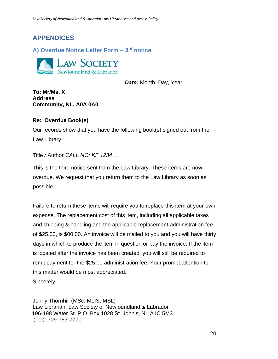### <span id="page-19-0"></span>**APPENDICES**

<span id="page-19-1"></span>**A) Overdue Notice Letter Form – 3 rd notice** 



 *Date:* Month, Day, Year

**To: Mr/Ms. X Address Community, NL, A0A 0A0**

#### **Re: Overdue Book(s)**

Our records show that you have the following book(s) signed out from the Law Library.

#### Title */* Author *CALL NO: KF 1234….*

This is the third notice sent from the Law Library. These items are now overdue. We request that you return them to the Law Library as soon as possible.

Failure to return these items will require you to replace this item at your own expense. The replacement cost of this item, including all applicable taxes and shipping & handling and the applicable replacement administration fee of \$25.00, is \$00.00. An invoice will be mailed to you and you will have thirty days in which to produce the item in question or pay the invoice. If the item is located after the invoice has been created, you will still be required to remit payment for the \$25.00 administration fee. Your prompt attention to this matter would be most appreciated.

Sincerely,

Jenny Thornhill (MSc, MLIS, MSL) Law Librarian, Law Society of Newfoundland & Labrador 196-198 Water St. P.O. Box 1028 St. John's, NL A1C 5M3 (Tel): 709-753-7770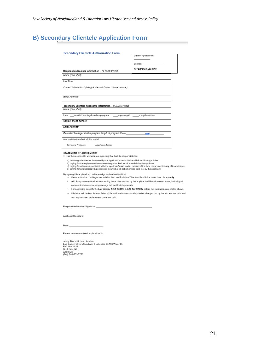#### <span id="page-20-0"></span>**B) Secondary Clientele Application Form**

| <b>Secondary Clientele Authorization Form</b>                           |                        |
|-------------------------------------------------------------------------|------------------------|
|                                                                         | Date of Application:   |
|                                                                         | Expires:               |
| Responsible Member Information - PLEASE PRINT                           | For Librarian Use Only |
| Name (Last. First):                                                     |                        |
|                                                                         |                        |
| Law Firm:                                                               |                        |
| Contact Information (Mailing Address & Contact phone number)            |                        |
| Fmall Address:                                                          |                        |
| Secondary Clientele Applicants Information - PLEASE PRINT               |                        |
| Name (Last. First):                                                     |                        |
|                                                                         |                        |
| I am: enrolled in a legal studies program a paralegal a legal assistant |                        |
| Contact phone number:                                                   |                        |
| Emall Address:                                                          |                        |
| If enrolled in a legal studies program, length of program: From         | $-10$                  |
| I am applying for (check all that apply):                               |                        |

c) paying for all costs associated with the applicant's use and/or misuse of the Law Library and/or any of its materials;<br>d) paying for all costs associated with the applicant's use and/or misuse of the Law Library and/or

- By signing this application, I acknowledge and understand that:<br>these authorized privileges are valid at the Law Society of Newfoundland & Labrador Law Library only.
	- . all Library communications concerning items checked out by the applicant will be addressed to me, including all communications concerning damage to Law Society property
	- I am agreeing to notify the Law Library if this student leaves our employ before the expiration date stated above.
	- . this letter will be kept in a confidential file until such times as all materials charged out by this student are returned and any accrued replacement costs are paid.

Responsible Member Signature:

Applicant Signature:

Date:

Please return completed applications to:

Jenny Thornhill, Law Librarian<br>Law Society of Newfoundland & Labrador 96-198 Water St.<br>P.O. Box 1028<br>St. John's, NL<br>A1C 5M3<br>(Tel): 709-753-7770